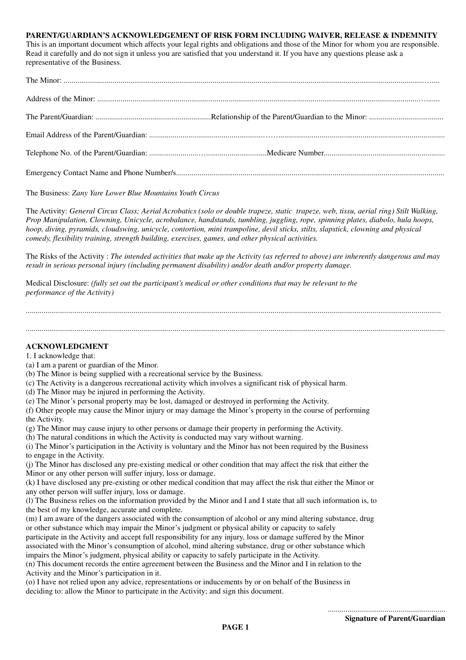## **PARENT/GUARDIAN'S ACKNOWLEDGEMENT OF RISK FORM INCLUDING WAIVER, RELEASE & INDEMNITY**

This is an important document which affects your legal rights and obligations and those of the Minor for whom you are responsible. Read it carefully and do not sign it unless you are satisfied that you understand it. If you have any questions please ask a representative of the Business.

## The Business: *Zany Yare Lower Blue Mountains Youth Circus*

The Activity: *General Circus Class; Aerial Acrobatics (solo or double trapeze, static trapeze, web, tissu, aerial ring) Stilt Walking, Prop Manipulation, Clowning, Unicycle, acrobalance, handstands, tumbling, juggling, rope, spinning plates, diabolo, hula hoops, hoop, diving, pyramids, cloudswing, unicycle, contortion, mini trampoline, devil sticks, stilts, slapstick, clowning and physical comedy, flexibility training, strength building, exercises, games, and other physical activities.*

The Risks of the Activity : *The intended activities that make up the Activity (as referred to above) are inherently dangerous and may result in serious personal injury (including permanent disability) and/or death and/or property damage.*

....................................................................................................................................................................................................................

......................................................................................................................................................................................................................

Medical Disclosure: *(fully set out the participant's medical or other conditions that may be relevant to the performance of the Activity)*

## **ACKNOWLEDGMENT**

1. I acknowledge that:

- (a) I am a parent or guardian of the Minor.
- (b) The Minor is being supplied with a recreational service by the Business.
- (c) The Activity is a dangerous recreational activity which involves a significant risk of physical harm.
- (d) The Minor may be injured in performing the Activity.
- (e) The Minor's personal property may be lost, damaged or destroyed in performing the Activity.
- (f) Other people may cause the Minor injury or may damage the Minor's property in the course of performing the Activity.
- (g) The Minor may cause injury to other persons or damage their property in performing the Activity.
- (h) The natural conditions in which the Activity is conducted may vary without warning.
- (i) The Minor's participation in the Activity is voluntary and the Minor has not been required by the Business to engage in the Activity.
- (j) The Minor has disclosed any pre-existing medical or other condition that may affect the risk that either the Minor or any other person will suffer injury, loss or damage.
- (k) I have disclosed any pre-existing or other medical condition that may affect the risk that either the Minor or any other person will suffer injury, loss or damage.
- (l) The Business relies on the information provided by the Minor and I and I state that all such information is, to the best of my knowledge, accurate and complete.
- (m) I am aware of the dangers associated with the consumption of alcohol or any mind altering substance, drug or other substance which may impair the Minor's judgment or physical ability or capacity to safely
- participate in the Activity and accept full responsibility for any injury, loss or damage suffered by the Minor associated with the Minor's consumption of alcohol, mind altering substance, drug or other substance which impairs the Minor's judgment, physical ability or capacity to safely participate in the Activity.

(n) This document records the entire agreement between the Business and the Minor and I in relation to the Activity and the Minor's participation in it.

(o) I have not relied upon any advice, representations or inducements by or on behalf of the Business in deciding to: allow the Minor to participate in the Activity; and sign this document.